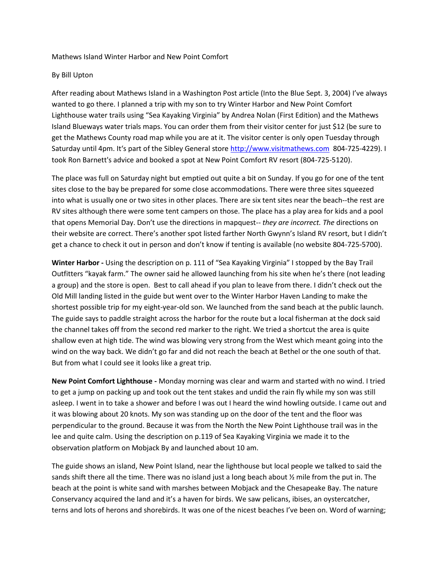## Mathews Island Winter Harbor and New Point Comfort

## By Bill Upton

After reading about Mathews Island in a Washington Post article (Into the Blue Sept. 3, 2004) I've always wanted to go there. I planned a trip with my son to try Winter Harbor and New Point Comfort Lighthouse water trails using "Sea Kayaking Virginia" by Andrea Nolan (First Edition) and the Mathews Island Blueways water trials maps. You can order them from their visitor center for just \$12 (be sure to get the Mathews County road map while you are at it. The visitor center is only open Tuesday through Saturday until 4pm. It's part of the Sibley General store [http://www.visitmathews.com](http://www.visitmathews.com/) 804-725-4229). I took Ron Barnett's advice and booked a spot at New Point Comfort RV resort (804-725-5120).

The place was full on Saturday night but emptied out quite a bit on Sunday. If you go for one of the tent sites close to the bay be prepared for some close accommodations. There were three sites squeezed into what is usually one or two sites in other places. There are six tent sites near the beach--the rest are RV sites although there were some tent campers on those. The place has a play area for kids and a pool that opens Memorial Day. Don't use the directions in mapquest-- *they are incorrect. The* directions on their website are correct. There's another spot listed farther North Gwynn's Island RV resort, but I didn't get a chance to check it out in person and don't know if tenting is available (no website 804-725-5700).

**Winter Harbor -** Using the description on p. 111 of "Sea Kayaking Virginia" I stopped by the Bay Trail Outfitters "kayak farm." The owner said he allowed launching from his site when he's there (not leading a group) and the store is open. Best to call ahead if you plan to leave from there. I didn't check out the Old Mill landing listed in the guide but went over to the Winter Harbor Haven Landing to make the shortest possible trip for my eight-year-old son. We launched from the sand beach at the public launch. The guide says to paddle straight across the harbor for the route but a local fisherman at the dock said the channel takes off from the second red marker to the right. We tried a shortcut the area is quite shallow even at high tide. The wind was blowing very strong from the West which meant going into the wind on the way back. We didn't go far and did not reach the beach at Bethel or the one south of that. But from what I could see it looks like a great trip.

**New Point Comfort Lighthouse -** Monday morning was clear and warm and started with no wind. I tried to get a jump on packing up and took out the tent stakes and undid the rain fly while my son was still asleep. I went in to take a shower and before I was out I heard the wind howling outside. I came out and it was blowing about 20 knots. My son was standing up on the door of the tent and the floor was perpendicular to the ground. Because it was from the North the New Point Lighthouse trail was in the lee and quite calm. Using the description on p.119 of Sea Kayaking Virginia we made it to the observation platform on Mobjack By and launched about 10 am.

The guide shows an island, New Point Island, near the lighthouse but local people we talked to said the sands shift there all the time. There was no island just a long beach about ½ mile from the put in. The beach at the point is white sand with marshes between Mobjack and the Chesapeake Bay. The nature Conservancy acquired the land and it's a haven for birds. We saw pelicans, ibises, an oystercatcher, terns and lots of herons and shorebirds. It was one of the nicest beaches I've been on. Word of warning;